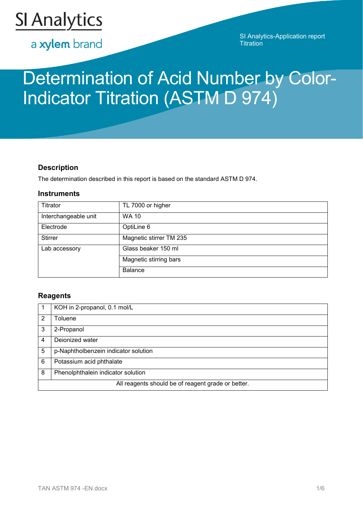

a xylem brand

SI Analytics-Application report **Titration** 

# Determination of Acid Number by Color-Indicator Titration (ASTM D 974)

# **Description**

The determination described in this report is based on the standard ASTM D 974.

## **Instruments**

| Titrator             | TL 7000 or higher       |
|----------------------|-------------------------|
| Interchangeable unit | <b>WA 10</b>            |
| Electrode            | OptiLine 6              |
| <b>Stirrer</b>       | Magnetic stirrer TM 235 |
| Lab accessory        | Glass beaker 150 ml     |
|                      | Magnetic stirring bars  |
|                      | <b>Balance</b>          |

# **Reagents**

|               | KOH in 2-propanol, 0.1 mol/L                       |
|---------------|----------------------------------------------------|
| $\mathcal{P}$ | <b>Toluene</b>                                     |
| 3             | 2-Propanol                                         |
| 4             | Dejonized water                                    |
| 5             | p-Naphtholbenzein indicator solution               |
| 6             | Potassium acid phthalate                           |
| 8             | Phenolphthalein indicator solution                 |
|               | All reagents should be of reagent grade or better. |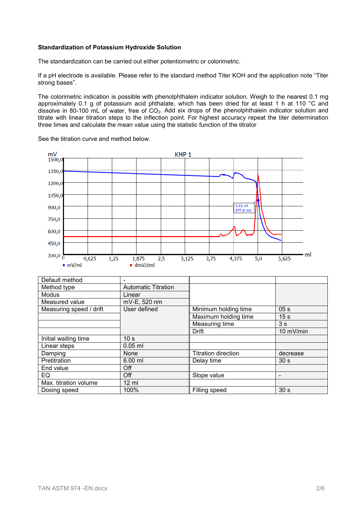## **Standardization of Potassium Hydroxide Solution**

The standardization can be carried out either potentiometric or colorimetric.

If a pH electrode is available. Please refer to the standard method Titer KOH and the application note "Titer strong bases".

The colorimetric indication is possible with phenolphthalein indicator solution. Weigh to the nearest 0.1 mg approximately 0.1 g of potassium acid phthalate, which has been dried for at least 1 h at 110 °C and dissolve in 80-100 mL of water, free of CO<sub>2</sub>. Add six drops of the phenolphthalein indicator solution and titrate with linear titration steps to the inflection point. For highest accuracy repeat the titer determination three times and calculate the mean value using the statistic function of the titrator

 $mV$ <sub>1500,0</sub> KHP<sub>1</sub> 1350,0 1200,0 1050,0  $5.01$  ml 900,0  $977.8 mV$ 750,0 600,0 450,0  $300,00$ · ml 1,875  $5,625$  $0.625$  $1.25$  $2.5$  $3.125$  $3.75$  $4.375$  $5.0$  $mV/ml$  $dmV/dml$ Default method<br>Method type **Automatic Titration**<br>Linear Modus<br>
Measured value<br>
Measured value<br>
MV-E, 520 nm Measured value mV-E, 520 nm<br>Measuring speed / drift User defined Measuring speed / drift User defined Minimum holding time 05 s<br>Maximum holding time 15 s Maximum holding time 15 s<br>Measuring time 3 s Measuring time<br>Drift 10 mV/min Initial waiting time<br>
Linear steps
10.05 ml Linear steps Damping None Titration direction decrease<br>
Pretitration 6.00 ml Delay time 30 s Pretitration 6.00 ml Delay time 30 s End value and Deff EQ off Slope value in the set of  $\sim$  Slope value in the set of  $\sim$  1. Max. titration volume 12 ml<br>Dosing speed 100% Dosing speed 100% Filling speed 30 s

See the titration curve and method below.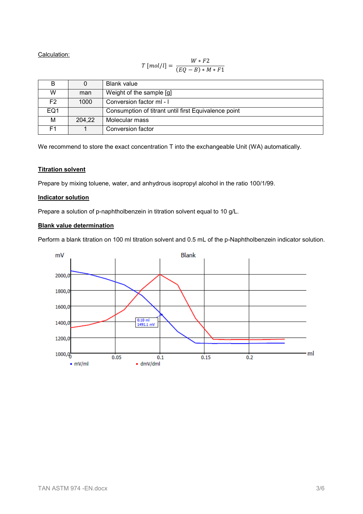Calculation:

$$
T\left[mol/l\right]=\frac{W*F2}{(EQ-B)*M*F1}
$$

| в               |        | Blank value                                          |
|-----------------|--------|------------------------------------------------------|
| W               | man    | Weight of the sample [g]                             |
| F2              | 1000   | Conversion factor mI-I                               |
| EQ <sub>1</sub> |        | Consumption of titrant until first Equivalence point |
| М               | 204,22 | Molecular mass                                       |
| F <sub>1</sub>  |        | Conversion factor                                    |

We recommend to store the exact concentration T into the exchangeable Unit (WA) automatically.

## **Titration solvent**

Prepare by mixing toluene, water, and anhydrous isopropyl alcohol in the ratio 100/1/99.

#### **Indicator solution**

Prepare a solution of p-naphtholbenzein in titration solvent equal to 10 g/L.

## **Blank value determination**

Perform a blank titration on 100 ml titration solvent and 0.5 mL of the p-Naphtholbenzein indicator solution.

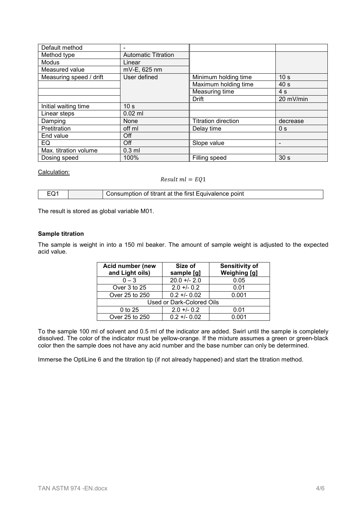| Default method          |                            |                            |                          |
|-------------------------|----------------------------|----------------------------|--------------------------|
| Method type             | <b>Automatic Titration</b> |                            |                          |
| Modus                   | Linear                     |                            |                          |
| Measured value          | mV-E, 625 nm               |                            |                          |
| Measuring speed / drift | User defined               | Minimum holding time       | 10 <sub>s</sub>          |
|                         |                            | Maximum holding time       | 40 <sub>s</sub>          |
|                         |                            | Measuring time             | 4 s                      |
|                         |                            | Drift                      | 20 mV/min                |
| Initial waiting time    | 10 <sub>s</sub>            |                            |                          |
| Linear steps            | $0.02$ ml                  |                            |                          |
| Damping                 | None                       | <b>Titration direction</b> | decrease                 |
| Pretitration            | off ml                     | Delay time                 | 0 <sub>s</sub>           |
| End value               | Off                        |                            |                          |
| EQ.                     | Off                        | Slope value                | $\overline{\phantom{a}}$ |
| Max. titration volume   | $0.3$ ml                   |                            |                          |
| Dosing speed            | 100%                       | Filling speed              | 30 <sub>s</sub>          |

#### Calculation:

 $Result \, ml = EQ1$ 

|  | Consumption of titrant at the first Equivalence point |
|--|-------------------------------------------------------|

The result is stored as global variable M01.

### **Sample titration**

The sample is weight in into a 150 ml beaker. The amount of sample weight is adjusted to the expected acid value.

| Acid number (new          | Size of        | <b>Sensitivity of</b> |
|---------------------------|----------------|-----------------------|
| and Light oils)           | sample [g]     | <b>Weighing [g]</b>   |
| $0 - 3$                   | $20.0 +/- 2.0$ | 0.05                  |
| Over 3 to 25              | $2.0 + 0.2$    | 0.01                  |
| Over 25 to 250            | $0.2 + 0.02$   | 0.001                 |
| Used or Dark-Colored Oils |                |                       |
| 0 to 25                   | $2.0 + 0.2$    | 0.01                  |
| Over 25 to 250            | $0.2 + 0.02$   | 0.001                 |

To the sample 100 ml of solvent and 0.5 ml of the indicator are added. Swirl until the sample is completely dissolved. The color of the indicator must be yellow-orange. If the mixture assumes a green or green-black color then the sample does not have any acid number and the base number can only be determined.

Immerse the OptiLine 6 and the titration tip (if not already happened) and start the titration method.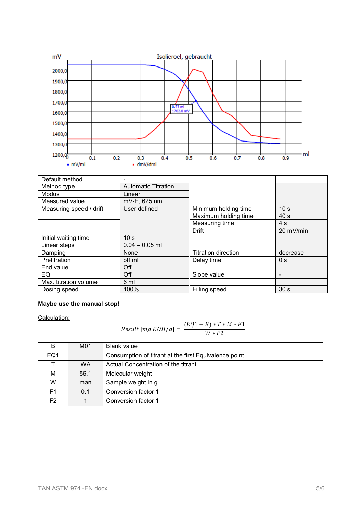

| Default method          |                            |                            |                          |
|-------------------------|----------------------------|----------------------------|--------------------------|
| Method type             | <b>Automatic Titration</b> |                            |                          |
| <b>Modus</b>            | Linear                     |                            |                          |
| Measured value          | mV-E, 625 nm               |                            |                          |
| Measuring speed / drift | User defined               | Minimum holding time       | 10 <sub>s</sub>          |
|                         |                            | Maximum holding time       | 40 <sub>s</sub>          |
|                         |                            | Measuring time             | 4s                       |
|                         |                            | Drift                      | 20 mV/min                |
| Initial waiting time    | 10 <sub>s</sub>            |                            |                          |
| Linear steps            | $0.04 - 0.05$ ml           |                            |                          |
| Damping                 | None                       | <b>Titration direction</b> | decrease                 |
| Pretitration            | off ml                     | Delay time                 | 0 <sub>s</sub>           |
| End value               | Off                        |                            |                          |
| EQ                      | Off                        | Slope value                | $\overline{\phantom{a}}$ |
| Max. titration volume   | 6 ml                       |                            |                          |
| Dosing speed            | 100%                       | Filling speed              | 30 <sub>s</sub>          |

## **Maybe use the manual stop!**

Calculation:

$$
Result [mg KOH/g] = \frac{(EQ1 - B) * T * M * F1}{W * F2}
$$

| B               | M01       | <b>Blank value</b>                                    |
|-----------------|-----------|-------------------------------------------------------|
| EQ <sub>1</sub> |           | Consumption of titrant at the first Equivalence point |
|                 | <b>WA</b> | Actual Concentration of the titrant                   |
| М               | 56.1      | Molecular weight                                      |
| W               | man       | Sample weight in g                                    |
| F <sub>1</sub>  | 0.1       | Conversion factor 1                                   |
| F2              |           | Conversion factor 1                                   |